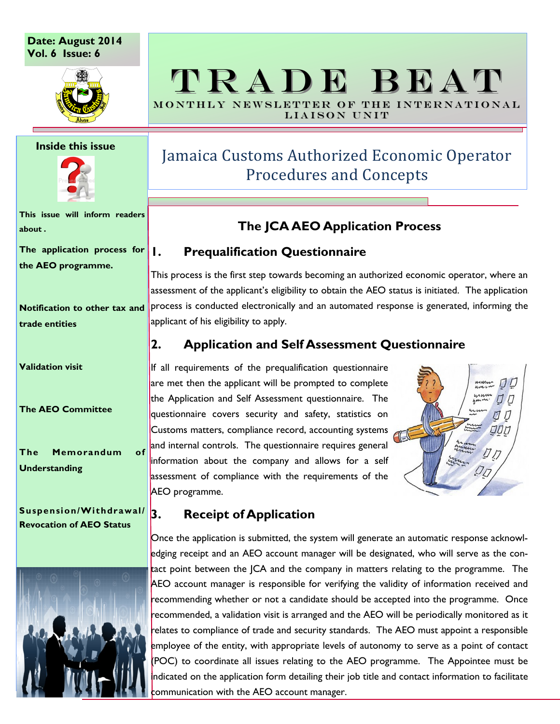**Date: August 2014 Vol. 6 Issue: 6**



#### **Inside this issue**



**This issue will inform readers about .**

**The application process for the AEO programme.**

**Notification to other tax and trade entities**

**Validation visit**

**The AEO Committee**

**The Memorandum of Understanding**

#### **Suspension/Withdrawal/ Revocation of AEO Status**



# TRADE BEAT MONTHLY NEWSLETTER OF THE INTERNATIONAL

LIAISON UNIT

# Jamaica Customs Authorized Economic Operator Procedures and Concepts

## **The JCA AEO Application Process**

## **1. Prequalification Questionnaire**

This process is the first step towards becoming an authorized economic operator, where an assessment of the applicant's eligibility to obtain the AEO status is initiated. The application process is conducted electronically and an automated response is generated, informing the applicant of his eligibility to apply.

## **2. Application and Self Assessment Questionnaire**

If all requirements of the prequalification questionnaire are met then the applicant will be prompted to complete the Application and Self Assessment questionnaire. The questionnaire covers security and safety, statistics on Customs matters, compliance record, accounting systems and internal controls. The questionnaire requires general information about the company and allows for a self assessment of compliance with the requirements of the AEO programme.



## **3. Receipt of Application**

Once the application is submitted, the system will generate an automatic response acknowledging receipt and an AEO account manager will be designated, who will serve as the contact point between the JCA and the company in matters relating to the programme. The AEO account manager is responsible for verifying the validity of information received and recommending whether or not a candidate should be accepted into the programme. Once recommended, a validation visit is arranged and the AEO will be periodically monitored as it relates to compliance of trade and security standards. The AEO must appoint a responsible employee of the entity, with appropriate levels of autonomy to serve as a point of contact (POC) to coordinate all issues relating to the AEO programme. The Appointee must be indicated on the application form detailing their job title and contact information to facilitate communication with the AEO account manager.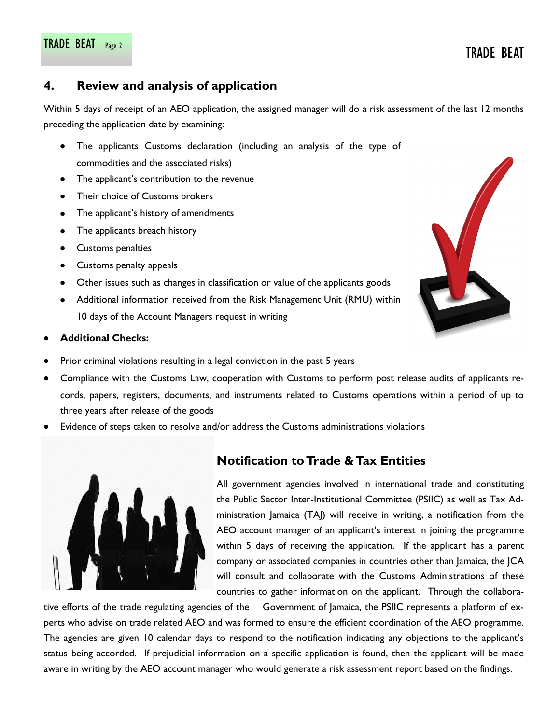### **4. Review and analysis of application**

Within 5 days of receipt of an AEO application, the assigned manager will do a risk assessment of the last 12 months preceding the application date by examining:

- The applicants Customs declaration (including an analysis of the type of commodities and the associated risks)
- The applicant's contribution to the revenue
- Their choice of Customs brokers
- The applicant's history of amendments
- The applicants breach history  $\bullet$
- Customs penalties
- Customs penalty appeals
- Other issues such as changes in classification or value of the applicants goods
- Additional information received from the Risk Management Unit (RMU) within 10 days of the Account Managers request in writing

#### **Additional Checks:**

- Prior criminal violations resulting in a legal conviction in the past 5 years
- Compliance with the Customs Law, cooperation with Customs to perform post release audits of applicants records, papers, registers, documents, and instruments related to Customs operations within a period of up to three years after release of the goods
- Evidence of steps taken to resolve and/or address the Customs administrations violations



#### **Notification to Trade & Tax Entities**

All government agencies involved in international trade and constituting the Public Sector Inter-Institutional Committee (PSIIC) as well as Tax Administration Jamaica (TAJ) will receive in writing, a notification from the AEO account manager of an applicant's interest in joining the programme within 5 days of receiving the application. If the applicant has a parent company or associated companies in countries other than Jamaica, the JCA will consult and collaborate with the Customs Administrations of these countries to gather information on the applicant. Through the collabora-

tive efforts of the trade regulating agencies of the Government of Jamaica, the PSIIC represents a platform of experts who advise on trade related AEO and was formed to ensure the efficient coordination of the AEO programme. The agencies are given 10 calendar days to respond to the notification indicating any objections to the applicant's status being accorded. If prejudicial information on a specific application is found, then the applicant will be made aware in writing by the AEO account manager who would generate a risk assessment report based on the findings.

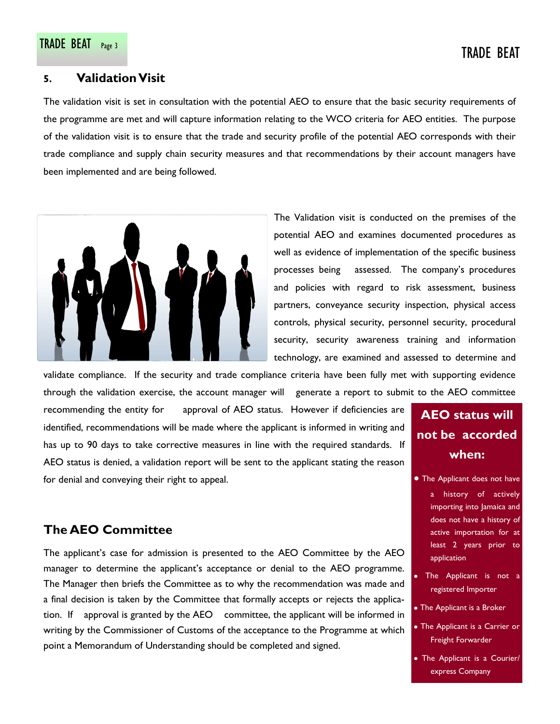#### **5. Validation Visit**

The validation visit is set in consultation with the potential AEO to ensure that the basic security requirements of the programme are met and will capture information relating to the WCO criteria for AEO entities. The purpose of the validation visit is to ensure that the trade and security profile of the potential AEO corresponds with their trade compliance and supply chain security measures and that recommendations by their account managers have been implemented and are being followed.



The Validation visit is conducted on the premises of the potential AEO and examines documented procedures as well as evidence of implementation of the specific business processes being assessed. The company's procedures and policies with regard to risk assessment, business partners, conveyance security inspection, physical access controls, physical security, personnel security, procedural security, security awareness training and information technology, are examined and assessed to determine and

validate compliance. If the security and trade compliance criteria have been fully met with supporting evidence through the validation exercise, the account manager will generate a report to submit to the AEO committee

recommending the entity for approval of AEO status. However if deficiencies are identified, recommendations will be made where the applicant is informed in writing and has up to 90 days to take corrective measures in line with the required standards. If AEO status is denied, a validation report will be sent to the applicant stating the reason for denial and conveying their right to appeal.

# **The AEO Committee**

The applicant's case for admission is presented to the AEO Committee by the AEO manager to determine the applicant's acceptance or denial to the AEO programme. The Manager then briefs the Committee as to why the recommendation was made and a final decision is taken by the Committee that formally accepts or rejects the application. If approval is granted by the AEO committee, the applicant will be informed in writing by the Commissioner of Customs of the acceptance to the Programme at which point a Memorandum of Understanding should be completed and signed.

# **AEO status will not be accorded when:**

The Applicant does not have

- a history of actively importing into Jamaica and does not have a history of active importation for at least 2 years prior to application
- The Applicant is not a registered Importer
- The Applicant is a Broker
- The Applicant is a Carrier or Freight Forwarder
- The Applicant is a Courier/ express Company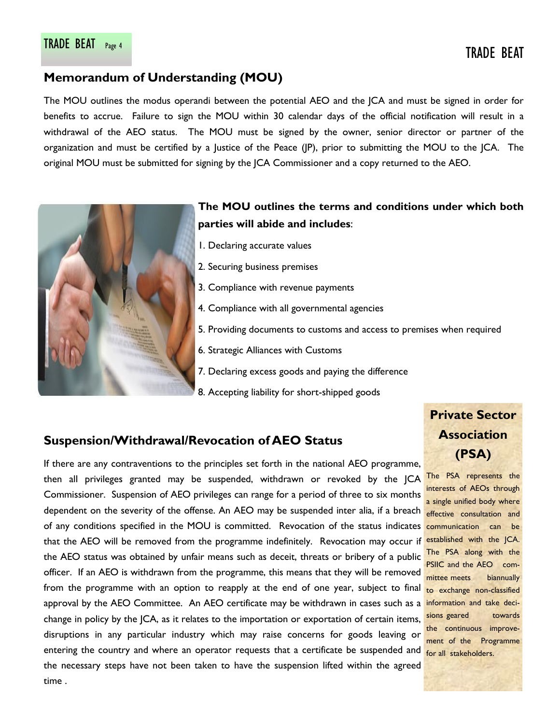## **Memorandum of Understanding (MOU)**

The MOU outlines the modus operandi between the potential AEO and the JCA and must be signed in order for benefits to accrue. Failure to sign the MOU within 30 calendar days of the official notification will result in a withdrawal of the AEO status. The MOU must be signed by the owner, senior director or partner of the organization and must be certified by a Justice of the Peace (JP), prior to submitting the MOU to the JCA. The original MOU must be submitted for signing by the JCA Commissioner and a copy returned to the AEO.



## **The MOU outlines the terms and conditions under which both parties will abide and includes**:

- 1. Declaring accurate values
- 2. Securing business premises
- 3. Compliance with revenue payments
- 4. Compliance with all governmental agencies
- 5. Providing documents to customs and access to premises when required
- 6. Strategic Alliances with Customs
- 7. Declaring excess goods and paying the difference
- 8. Accepting liability for short-shipped goods

#### **Suspension/Withdrawal/Revocation of AEO Status**

If there are any contraventions to the principles set forth in the national AEO programme, then all privileges granted may be suspended, withdrawn or revoked by the JCA Commissioner. Suspension of AEO privileges can range for a period of three to six months dependent on the severity of the offense. An AEO may be suspended inter alia, if a breach of any conditions specified in the MOU is committed. Revocation of the status indicates that the AEO will be removed from the programme indefinitely. Revocation may occur if the AEO status was obtained by unfair means such as deceit, threats or bribery of a public officer. If an AEO is withdrawn from the programme, this means that they will be removed from the programme with an option to reapply at the end of one year, subject to final approval by the AEO Committee. An AEO certificate may be withdrawn in cases such as a change in policy by the JCA, as it relates to the importation or exportation of certain items, disruptions in any particular industry which may raise concerns for goods leaving or entering the country and where an operator requests that a certificate be suspended and the necessary steps have not been taken to have the suspension lifted within the agreed time .

## **Private Sector Association (PSA)**

The PSA represents the interests of AEOs through a single unified body where effective consultation and communication can be established with the JCA. The PSA along with the PSIIC and the AEO committee meets biannually to exchange non-classified information and take decisions geared towards the continuous improvement of the Programme for all stakeholders.